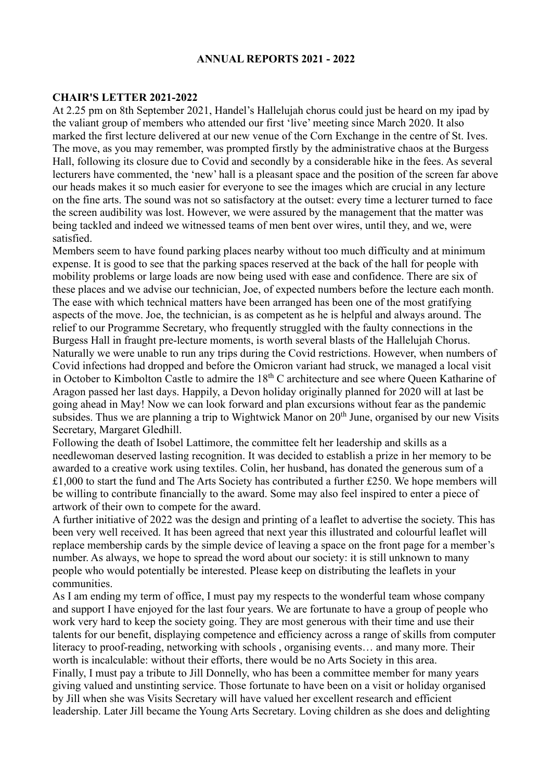#### **ANNUAL REPORTS 2021 - 2022**

#### **CHAIR'S LETTER 2021-2022**

At 2.25 pm on 8th September 2021, Handel's Hallelujah chorus could just be heard on my ipad by the valiant group of members who attended our first 'live' meeting since March 2020. It also marked the first lecture delivered at our new venue of the Corn Exchange in the centre of St. Ives. The move, as you may remember, was prompted firstly by the administrative chaos at the Burgess Hall, following its closure due to Covid and secondly by a considerable hike in the fees. As several lecturers have commented, the 'new' hall is a pleasant space and the position of the screen far above our heads makes it so much easier for everyone to see the images which are crucial in any lecture on the fine arts. The sound was not so satisfactory at the outset: every time a lecturer turned to face the screen audibility was lost. However, we were assured by the management that the matter was being tackled and indeed we witnessed teams of men bent over wires, until they, and we, were satisfied.

Members seem to have found parking places nearby without too much difficulty and at minimum expense. It is good to see that the parking spaces reserved at the back of the hall for people with mobility problems or large loads are now being used with ease and confidence. There are six of these places and we advise our technician, Joe, of expected numbers before the lecture each month. The ease with which technical matters have been arranged has been one of the most gratifying aspects of the move. Joe, the technician, is as competent as he is helpful and always around. The relief to our Programme Secretary, who frequently struggled with the faulty connections in the Burgess Hall in fraught pre-lecture moments, is worth several blasts of the Hallelujah Chorus. Naturally we were unable to run any trips during the Covid restrictions. However, when numbers of Covid infections had dropped and before the Omicron variant had struck, we managed a local visit in October to Kimbolton Castle to admire the 18<sup>th</sup> C architecture and see where Queen Katharine of Aragon passed her last days. Happily, a Devon holiday originally planned for 2020 will at last be going ahead in May! Now we can look forward and plan excursions without fear as the pandemic subsides. Thus we are planning a trip to Wightwick Manor on  $20<sup>th</sup>$  June, organised by our new Visits Secretary, Margaret Gledhill.

Following the death of Isobel Lattimore, the committee felt her leadership and skills as a needlewoman deserved lasting recognition. It was decided to establish a prize in her memory to be awarded to a creative work using textiles. Colin, her husband, has donated the generous sum of a £1,000 to start the fund and The Arts Society has contributed a further £250. We hope members will be willing to contribute financially to the award. Some may also feel inspired to enter a piece of artwork of their own to compete for the award.

A further initiative of 2022 was the design and printing of a leaflet to advertise the society. This has been very well received. It has been agreed that next year this illustrated and colourful leaflet will replace membership cards by the simple device of leaving a space on the front page for a member's number. As always, we hope to spread the word about our society: it is still unknown to many people who would potentially be interested. Please keep on distributing the leaflets in your communities.

As I am ending my term of office, I must pay my respects to the wonderful team whose company and support I have enjoyed for the last four years. We are fortunate to have a group of people who work very hard to keep the society going. They are most generous with their time and use their talents for our benefit, displaying competence and efficiency across a range of skills from computer literacy to proof-reading, networking with schools , organising events… and many more. Their worth is incalculable: without their efforts, there would be no Arts Society in this area. Finally, I must pay a tribute to Jill Donnelly, who has been a committee member for many years giving valued and unstinting service. Those fortunate to have been on a visit or holiday organised by Jill when she was Visits Secretary will have valued her excellent research and efficient leadership. Later Jill became the Young Arts Secretary. Loving children as she does and delighting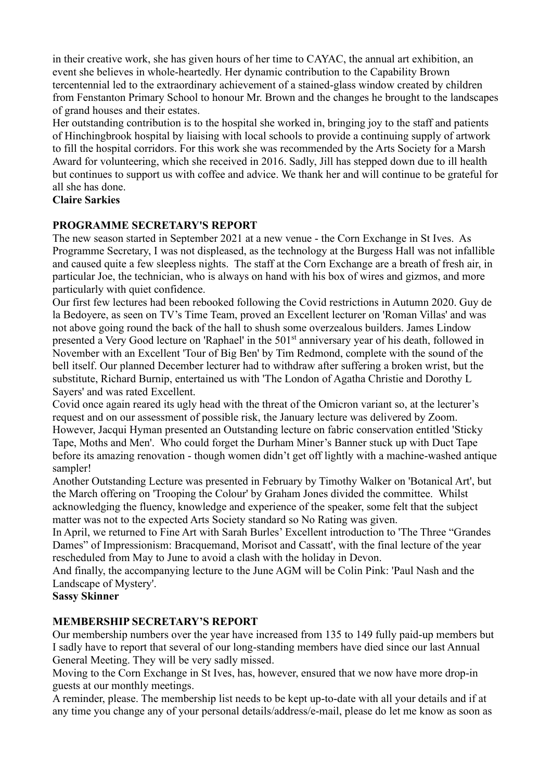in their creative work, she has given hours of her time to CAYAC, the annual art exhibition, an event she believes in whole-heartedly. Her dynamic contribution to the Capability Brown tercentennial led to the extraordinary achievement of a stained-glass window created by children from Fenstanton Primary School to honour Mr. Brown and the changes he brought to the landscapes of grand houses and their estates.

Her outstanding contribution is to the hospital she worked in, bringing joy to the staff and patients of Hinchingbrook hospital by liaising with local schools to provide a continuing supply of artwork to fill the hospital corridors. For this work she was recommended by the Arts Society for a Marsh Award for volunteering, which she received in 2016. Sadly, Jill has stepped down due to ill health but continues to support us with coffee and advice. We thank her and will continue to be grateful for all she has done.

### **Claire Sarkies**

### **PROGRAMME SECRETARY'S REPORT**

The new season started in September 2021 at a new venue - the Corn Exchange in St Ives. As Programme Secretary, I was not displeased, as the technology at the Burgess Hall was not infallible and caused quite a few sleepless nights. The staff at the Corn Exchange are a breath of fresh air, in particular Joe, the technician, who is always on hand with his box of wires and gizmos, and more particularly with quiet confidence.

Our first few lectures had been rebooked following the Covid restrictions in Autumn 2020. Guy de la Bedoyere, as seen on TV's Time Team, proved an Excellent lecturer on 'Roman Villas' and was not above going round the back of the hall to shush some overzealous builders. James Lindow presented a Very Good lecture on 'Raphael' in the 501<sup>st</sup> anniversary year of his death, followed in November with an Excellent 'Tour of Big Ben' by Tim Redmond, complete with the sound of the bell itself. Our planned December lecturer had to withdraw after suffering a broken wrist, but the substitute, Richard Burnip, entertained us with 'The London of Agatha Christie and Dorothy L Sayers' and was rated Excellent.

Covid once again reared its ugly head with the threat of the Omicron variant so, at the lecturer's request and on our assessment of possible risk, the January lecture was delivered by Zoom. However, Jacqui Hyman presented an Outstanding lecture on fabric conservation entitled 'Sticky Tape, Moths and Men'. Who could forget the Durham Miner's Banner stuck up with Duct Tape before its amazing renovation - though women didn't get off lightly with a machine-washed antique sampler!

Another Outstanding Lecture was presented in February by Timothy Walker on 'Botanical Art', but the March offering on 'Trooping the Colour' by Graham Jones divided the committee. Whilst acknowledging the fluency, knowledge and experience of the speaker, some felt that the subject matter was not to the expected Arts Society standard so No Rating was given.

In April, we returned to Fine Art with Sarah Burles' Excellent introduction to 'The Three "Grandes Dames" of Impressionism: Bracquemand, Morisot and Cassatt', with the final lecture of the year rescheduled from May to June to avoid a clash with the holiday in Devon.

And finally, the accompanying lecture to the June AGM will be Colin Pink: 'Paul Nash and the Landscape of Mystery'.

#### **Sassy Skinner**

# **MEMBERSHIP SECRETARY'S REPORT**

Our membership numbers over the year have increased from 135 to 149 fully paid-up members but I sadly have to report that several of our long-standing members have died since our last Annual General Meeting. They will be very sadly missed.

Moving to the Corn Exchange in St Ives, has, however, ensured that we now have more drop-in guests at our monthly meetings.

A reminder, please. The membership list needs to be kept up-to-date with all your details and if at any time you change any of your personal details/address/e-mail, please do let me know as soon as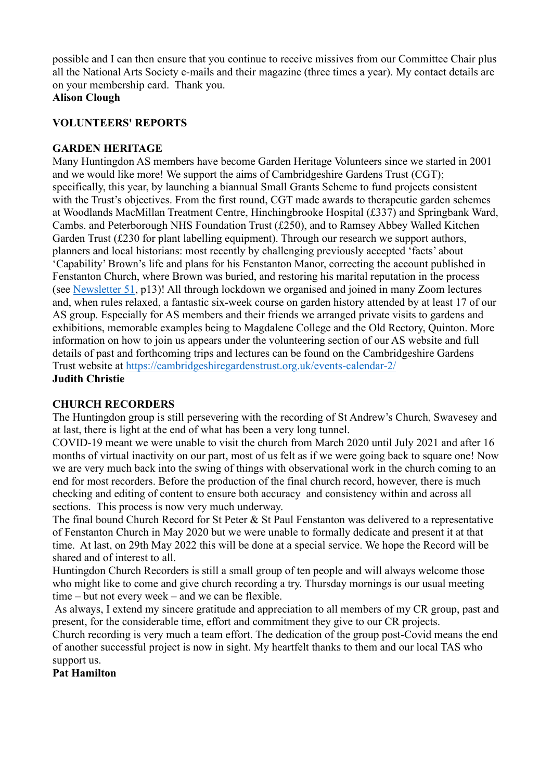possible and I can then ensure that you continue to receive missives from our Committee Chair plus all the National Arts Society e-mails and their magazine (three times a year). My contact details are on your membership card. Thank you.

# **Alison Clough**

## **VOLUNTEERS' REPORTS**

## **GARDEN HERITAGE**

Many Huntingdon AS members have become Garden Heritage Volunteers since we started in 2001 and we would like more! We support the aims of Cambridgeshire Gardens Trust (CGT); specifically, this year, by launching a biannual Small Grants Scheme to fund projects consistent with the Trust's objectives. From the first round, CGT made awards to therapeutic garden schemes at Woodlands MacMillan Treatment Centre, Hinchingbrooke Hospital (£337) and Springbank Ward, Cambs. and Peterborough NHS Foundation Trust (£250), and to Ramsey Abbey Walled Kitchen Garden Trust (£230 for plant labelling equipment). Through our research we support authors, planners and local historians: most recently by challenging previously accepted 'facts' about 'Capability' Brown's life and plans for his Fenstanton Manor, correcting the account published in Fenstanton Church, where Brown was buried, and restoring his marital reputation in the process (see [Newsletter 51,](https://cambridgeshiregardenstrust.org.uk/our-publications/cgt-newsletters-2/) p13)! All through lockdown we organised and joined in many Zoom lectures and, when rules relaxed, a fantastic six-week course on garden history attended by at least 17 of our AS group. Especially for AS members and their friends we arranged private visits to gardens and exhibitions, memorable examples being to Magdalene College and the Old Rectory, Quinton. More information on how to join us appears under the volunteering section of our AS website and full details of past and forthcoming trips and lectures can be found on the Cambridgeshire Gardens Trust website at<https://cambridgeshiregardenstrust.org.uk/events-calendar-2/> **Judith Christie**

# **CHURCH RECORDERS**

The Huntingdon group is still persevering with the recording of St Andrew's Church, Swavesey and at last, there is light at the end of what has been a very long tunnel.

COVID-19 meant we were unable to visit the church from March 2020 until July 2021 and after 16 months of virtual inactivity on our part, most of us felt as if we were going back to square one! Now we are very much back into the swing of things with observational work in the church coming to an end for most recorders. Before the production of the final church record, however, there is much checking and editing of content to ensure both accuracy and consistency within and across all sections. This process is now very much underway.

The final bound Church Record for St Peter & St Paul Fenstanton was delivered to a representative of Fenstanton Church in May 2020 but we were unable to formally dedicate and present it at that time. At last, on 29th May 2022 this will be done at a special service. We hope the Record will be shared and of interest to all.

Huntingdon Church Recorders is still a small group of ten people and will always welcome those who might like to come and give church recording a try. Thursday mornings is our usual meeting time – but not every week – and we can be flexible.

As always, I extend my sincere gratitude and appreciation to all members of my CR group, past and present, for the considerable time, effort and commitment they give to our CR projects.

Church recording is very much a team effort. The dedication of the group post-Covid means the end of another successful project is now in sight. My heartfelt thanks to them and our local TAS who support us.

**Pat Hamilton**